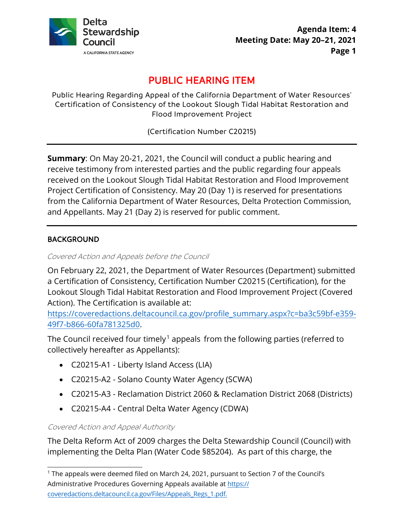

# PUBLIC HEARING ITEM

Public Hearing Regarding Appeal of the California Department of Water Resources' Certification of Consistency of the Lookout Slough Tidal Habitat Restoration and Flood Improvement Project

(Certification Number C20215)

 **Summary**: On May 20-21, 2021, the Council will conduct a public hearing and and Appellants. May 21 (Day 2) is reserved for public comment. receive testimony from interested parties and the public regarding four appeals received on the Lookout Slough Tidal Habitat Restoration and Flood Improvement Project Certification of Consistency. May 20 (Day 1) is reserved for presentations from the California Department of Water Resources, Delta Protection Commission,

# BACKGROUND

Covered Action and Appeals before the Council

On February 22, 2021, the Department of Water Resources (Department) submitted a Certification of Consistency, Certification Number C20215 (Certification), for the Lookout Slough Tidal Habitat Restoration and Flood Improvement Project (Covered Action). The Certification is available at:

 49f7-b866-60fa781325d0. [https://coveredactions.deltacouncil.ca.gov/profile\\_summary.aspx?c=ba3c59bf-e359-](https://coveredactions.deltacouncil.ca.gov/profile_summary.aspx?c=ba3c59bf-e359-49f7-b866-60fa781325d0)

The Council received four timely.<sup>1</sup> appeals from the following parties (referred to collectively hereafter as Appellants):

- C20215-A1 Liberty Island Access (LIA)
- C20215-A2 Solano County Water Agency (SCWA)
- C20215-A3 Reclamation District 2060 & Reclamation District 2068 (Districts)
- C20215-A4 Central Delta Water Agency (CDWA)

Covered Action and Appeal Authority

 implementing the Delta Plan (Water Code §85204). As part of this charge, the The Delta Reform Act of 2009 charges the Delta Stewardship Council (Council) with

 [coveredactions.deltacouncil.ca.gov/Files/Appeals\\_Regs\\_1.pdf](https://coveredactions.deltacouncil.ca.gov/Files/Appeals_Regs_1.pdf). <sup>1</sup> The appeals were deemed filed on March 24, 2021, pursuant to Section 7 of the Council's Administrative Procedures Governing Appeals available at https://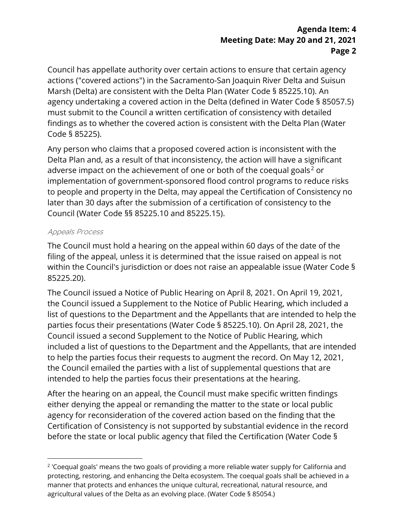## **Agenda Item: 4 Meeting Date: May 20 and 21, 2021 Page 2**

 Marsh (Delta) are consistent with the Delta Plan (Water Code § [85225.10\)](https://85225.10). An agency undertaking a covered action in the Delta (defined in Water Code § 85057.5) findings as to whether the covered action is consistent with the Delta Plan (Water Code § 85225). Council has appellate authority over certain actions to ensure that certain agency actions ("covered actions") in the Sacramento-San Joaquin River Delta and Suisun must submit to the Council a written certification of consistency with detailed

 Council (Water Code §§ [85225.10](https://85225.10) and [85225.15](https://85225.15)). Any person who claims that a proposed covered action is inconsistent with the Delta Plan and, as a result of that inconsistency, the action will have a significant adverse impact on the achievement of one or both of the coequal goals<sup>2</sup> or implementation of government-sponsored flood control programs to reduce risks to people and property in the Delta, may appeal the Certification of Consistency no later than 30 days after the submission of a certification of consistency to the

#### Appeals Process

 The Council must hold a hearing on the appeal within 60 days of the date of the 85225.20). filing of the appeal, unless it is determined that the issue raised on appeal is not within the Council's jurisdiction or does not raise an appealable issue (Water Code §

The Council issued a Notice of Public Hearing on April 8, 2021. On April 19, 2021, the Council issued a Supplement to the Notice of Public Hearing, which included a list of questions to the Department and the Appellants that are intended to help the parties focus their presentations (Water Code § [85225.10\)](https://85225.10). On April 28, 2021, the Council issued a second Supplement to the Notice of Public Hearing, which included a list of questions to the Department and the Appellants, that are intended to help the parties focus their requests to augment the record. On May 12, 2021, the Council emailed the parties with a list of supplemental questions that are intended to help the parties focus their presentations at the hearing.

After the hearing on an appeal, the Council must make specific written findings either denying the appeal or remanding the matter to the state or local public agency for reconsideration of the covered action based on the finding that the Certification of Consistency is not supported by substantial evidence in the record before the state or local public agency that filed the Certification (Water Code §

 agricultural values of the Delta as an evolving place. (Water Code § 85054.) <sup>2</sup> 'Coequal goals' means the two goals of providing a more reliable water supply for California and protecting, restoring, and enhancing the Delta ecosystem. The coequal goals shall be achieved in a manner that protects and enhances the unique cultural, recreational, natural resource, and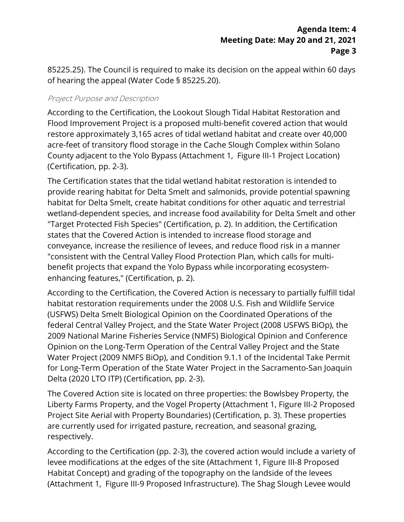[85225.25](https://85225.25)). The Council is required to make its decision on the appeal within 60 days of hearing the appeal (Water Code § [85225.20](https://85225.20)).

#### Project Purpose and Description

 Flood Improvement Project is a proposed multi-benefit covered action that would According to the Certification, the Lookout Slough Tidal Habitat Restoration and restore approximately 3,165 acres of tidal wetland habitat and create over 40,000 acre-feet of transitory flood storage in the Cache Slough Complex within Solano County adjacent to the Yolo Bypass (Attachment 1, Figure III-1 Project Location) (Certification, pp. 2-3).

The Certification states that the tidal wetland habitat restoration is intended to provide rearing habitat for Delta Smelt and salmonids, provide potential spawning habitat for Delta Smelt, create habitat conditions for other aquatic and terrestrial wetland-dependent species, and increase food availability for Delta Smelt and other "Target Protected Fish Species" (Certification, p. 2). In addition, the Certification states that the Covered Action is intended to increase flood storage and conveyance, increase the resilience of levees, and reduce flood risk in a manner "consistent with the Central Valley Flood Protection Plan, which calls for multibenefit projects that expand the Yolo Bypass while incorporating ecosystemenhancing features," (Certification, p. 2).

According to the Certification, the Covered Action is necessary to partially fulfill tidal habitat restoration requirements under the 2008 U.S. Fish and Wildlife Service (USFWS) Delta Smelt Biological Opinion on the Coordinated Operations of the federal Central Valley Project, and the State Water Project (2008 USFWS BiOp), the 2009 National Marine Fisheries Service (NMFS) Biological Opinion and Conference Opinion on the Long-Term Operation of the Central Valley Project and the State Water Project (2009 NMFS BiOp), and Condition 9.1.1 of the Incidental Take Permit for Long-Term Operation of the State Water Project in the Sacramento-San Joaquin Delta (2020 LTO ITP) (Certification, pp. 2-3).

The Covered Action site is located on three properties: the Bowlsbey Property, the Liberty Farms Property, and the Vogel Property (Attachment 1, Figure III-2 Proposed Project Site Aerial with Property Boundaries) (Certification, p. 3). These properties are currently used for irrigated pasture, recreation, and seasonal grazing, respectively.

 levee modifications at the edges of the site (Attachment 1, Figure III-8 Proposed According to the Certification (pp. 2-3), the covered action would include a variety of Habitat Concept) and grading of the topography on the landside of the levees (Attachment 1, Figure III-9 Proposed Infrastructure). The Shag Slough Levee would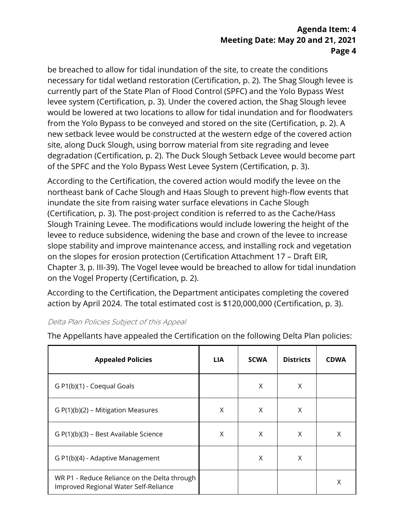## **Agenda Item: 4 Meeting Date: May 20 and 21, 2021 Page 4**

of the SPFC and the Yolo Bypass West Levee System (Certification, p. 3). be breached to allow for tidal inundation of the site, to create the conditions necessary for tidal wetland restoration (Certification, p. 2). The Shag Slough levee is currently part of the State Plan of Flood Control (SPFC) and the Yolo Bypass West levee system (Certification, p. 3). Under the covered action, the Shag Slough levee would be lowered at two locations to allow for tidal inundation and for floodwaters from the Yolo Bypass to be conveyed and stored on the site (Certification, p. 2). A new setback levee would be constructed at the western edge of the covered action site, along Duck Slough, using borrow material from site regrading and levee degradation (Certification, p. 2). The Duck Slough Setback Levee would become part

of the SPFC and the Yolo Bypass West Levee System (Certification, p. 3).<br>According to the Certification, the covered action would modify the levee on the Slough Training Levee. The modifications would include lowering the height of the on the slopes for erosion protection (Certification Attachment 17 – Draft EIR, northeast bank of Cache Slough and Haas Slough to prevent high-flow events that inundate the site from raising water surface elevations in Cache Slough (Certification, p. 3). The post-project condition is referred to as the Cache/Hass levee to reduce subsidence, widening the base and crown of the levee to increase slope stability and improve maintenance access, and installing rock and vegetation Chapter 3, p. III-39). The Vogel levee would be breached to allow for tidal inundation on the Vogel Property (Certification, p. 2).

According to the Certification, the Department anticipates completing the covered action by April 2024. The total estimated cost is \$120,000,000 (Certification, p. 3).

#### Delta Plan Policies Subject of this Appeal

| <b>Appealed Policies</b>                                                              | <b>LIA</b> | <b>SCWA</b> | <b>Districts</b> | <b>CDWA</b> |
|---------------------------------------------------------------------------------------|------------|-------------|------------------|-------------|
| G P1(b)(1) - Coequal Goals                                                            |            | X           | X                |             |
| $G P(1)(b)(2) - Mitigation Measures$                                                  | Χ          | X           | X                |             |
| G P(1)(b)(3) – Best Available Science                                                 | Χ          | X           | X                | X           |
| G P1(b)(4) - Adaptive Management                                                      |            | X           | X                |             |
| WR P1 - Reduce Reliance on the Delta through<br>Improved Regional Water Self-Reliance |            |             |                  | X           |

The Appellants have appealed the Certification on the following Delta Plan policies: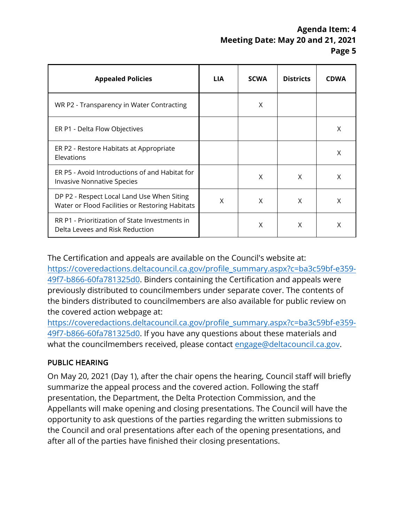# **Agenda Item: 4 Meeting Date: May 20 and 21, 2021 Page 5**

| <b>Appealed Policies</b>                                                                      | <b>LIA</b> | <b>SCWA</b> | <b>Districts</b> | <b>CDWA</b> |
|-----------------------------------------------------------------------------------------------|------------|-------------|------------------|-------------|
| WR P2 - Transparency in Water Contracting                                                     |            | X           |                  |             |
| ER P1 - Delta Flow Objectives                                                                 |            |             |                  | Χ           |
| ER P2 - Restore Habitats at Appropriate<br>Elevations                                         |            |             |                  | X           |
| ER P5 - Avoid Introductions of and Habitat for<br>Invasive Nonnative Species                  |            | X           | X                | X           |
| DP P2 - Respect Local Land Use When Siting<br>Water or Flood Facilities or Restoring Habitats | X          | X           | X                | X           |
| RR P1 - Prioritization of State Investments in<br>Delta Levees and Risk Reduction             |            | X           | X                | X           |

The Certification and appeals are available on the Council's website at:

 the binders distributed to councilmembers are also available for public review on [https://coveredactions.deltacouncil.ca.gov/profile\\_summary.aspx?c=ba3c59bf-e359-](https://coveredactions.deltacouncil.ca.gov/profile_summary.aspx?c=ba3c59bf-e359-49f7-b866-60fa781325d0) 49f7-b866-60fa781325d0. Binders containing the Certification and appeals were previously distributed to councilmembers under separate cover. The contents of the covered action webpage at:

 49f7-b866-60fa781325d0. If you have any questions about these materials and [https://coveredactions.deltacouncil.ca.gov/profile\\_summary.aspx?c=ba3c59bf-e359](https://coveredactions.deltacouncil.ca.gov/profile_summary.aspx?c=ba3c59bf-e359-49f7-b866-60fa781325d0) what the councilmembers received, please contact [engage@deltacouncil.ca.gov.](mailto:engage@deltacouncil.ca.gov)

# PUBLIC HEARING

 presentation, the Department, the Delta Protection Commission, and the On May 20, 2021 (Day 1), after the chair opens the hearing, Council staff will briefly summarize the appeal process and the covered action. Following the staff Appellants will make opening and closing presentations. The Council will have the opportunity to ask questions of the parties regarding the written submissions to the Council and oral presentations after each of the opening presentations, and after all of the parties have finished their closing presentations.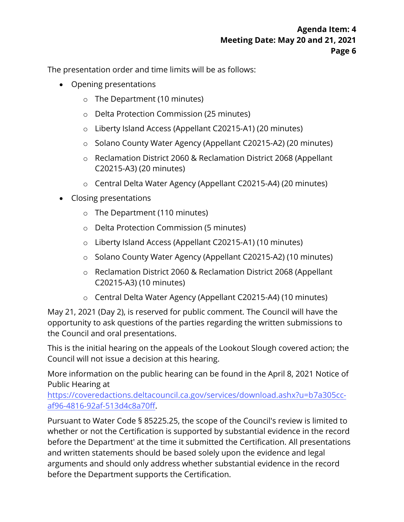The presentation order and time limits will be as follows:

- Opening presentations
	- o The Department (10 minutes)
	- o Delta Protection Commission (25 minutes)
	- o Liberty Island Access (Appellant C20215-A1) (20 minutes)
	- o Solano County Water Agency (Appellant C20215-A2) (20 minutes)
	- o Reclamation District 2060 & Reclamation District 2068 (Appellant C20215-A3) (20 minutes)
	- o Central Delta Water Agency (Appellant C20215-A4) (20 minutes)
- Closing presentations
	- o The Department (110 minutes)
	- o Delta Protection Commission (5 minutes)
	- o Liberty Island Access (Appellant C20215-A1) (10 minutes)
	- o Solano County Water Agency (Appellant C20215-A2) (10 minutes)
	- o Reclamation District 2060 & Reclamation District 2068 (Appellant C20215-A3) (10 minutes)
	- o Central Delta Water Agency (Appellant C20215-A4) (10 minutes)

 May 21, 2021 (Day 2), is reserved for public comment. The Council will have the the Council and oral presentations. opportunity to ask questions of the parties regarding the written submissions to

This is the initial hearing on the appeals of the Lookout Slough covered action; the Council will not issue a decision at this hearing.

More information on the public hearing can be found in the April 8, 2021 Notice of Public Hearing at

[https://coveredactions.deltacouncil.ca.gov/services/download.ashx?u=b7a305cc](https://coveredactions.deltacouncil.ca.gov/services/download.ashx?u=b7a305cc-af96-4816-92af-513d4c8a70ff)af96-4816-92af-513d4c8a70ff.

Pursuant to Water Code § 85225.25, the scope of the Council's review is limited to whether or not the Certification is supported by substantial evidence in the record before the Department' at the time it submitted the Certification. All presentations and written statements should be based solely upon the evidence and legal arguments and should only address whether substantial evidence in the record before the Department supports the Certification.